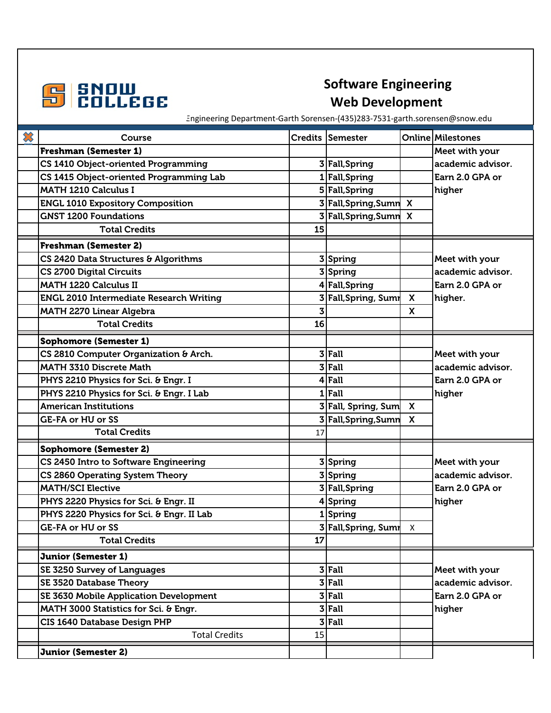

Engineering Department-Garth Sorensen-(435)283-7531-garth.sorensen@snow.edu

| $\boldsymbol{\mathcal{X}}$ | Course                                         |    | Credits Semester       |                           | <b>Online Milestones</b> |
|----------------------------|------------------------------------------------|----|------------------------|---------------------------|--------------------------|
|                            | <b>Freshman (Semester 1)</b>                   |    |                        |                           | Meet with your           |
|                            | CS 1410 Object-oriented Programming            |    | 3 Fall, Spring         |                           | academic advisor.        |
|                            | CS 1415 Object-oriented Programming Lab        |    | 1 Fall, Spring         |                           | Earn 2.0 GPA or          |
|                            | <b>MATH 1210 Calculus I</b>                    |    | 5 Fall, Spring         |                           | higher                   |
|                            | <b>ENGL 1010 Expository Composition</b>        |    | 3 Fall, Spring, Sumn   | $\boldsymbol{\mathsf{x}}$ |                          |
|                            | <b>GNST 1200 Foundations</b>                   |    | Fall, Spring, Sumn     | $\boldsymbol{\mathsf{x}}$ |                          |
|                            | <b>Total Credits</b>                           | 15 |                        |                           |                          |
|                            | <b>Freshman (Semester 2)</b>                   |    |                        |                           |                          |
|                            | CS 2420 Data Structures & Algorithms           |    | 3Spring                |                           | Meet with your           |
|                            | <b>CS 2700 Digital Circuits</b>                |    | 3 Spring               |                           | academic advisor.        |
|                            | <b>MATH 1220 Calculus II</b>                   |    | 4 Fall, Spring         |                           | Earn 2.0 GPA or          |
|                            | <b>ENGL 2010 Intermediate Research Writing</b> |    | 3 Fall, Spring, Sumr   | $\mathsf{x}$              | higher.                  |
|                            | <b>MATH 2270 Linear Algebra</b>                |    |                        | $\mathsf{x}$              |                          |
|                            | <b>Total Credits</b>                           | 16 |                        |                           |                          |
|                            | <b>Sophomore (Semester 1)</b>                  |    |                        |                           |                          |
|                            | CS 2810 Computer Organization & Arch.          |    | $3$ Fall               |                           | Meet with your           |
|                            | <b>MATH 3310 Discrete Math</b>                 | 3  | Fall                   |                           | academic advisor.        |
|                            | PHYS 2210 Physics for Sci. & Engr. I           |    | $4$ Fall               |                           | Earn 2.0 GPA or          |
|                            | PHYS 2210 Physics for Sci. & Engr. I Lab       |    | $1$ Fall               |                           | higher                   |
|                            | <b>American Institutions</b>                   |    | 3 Fall, Spring, Sum X  |                           |                          |
|                            | <b>GE-FA or HU or SS</b>                       |    | Fall, Spring, Sumn     | $\mathbf{x}$              |                          |
|                            | <b>Total Credits</b>                           | 17 |                        |                           |                          |
|                            | <b>Sophomore (Semester 2)</b>                  |    |                        |                           |                          |
|                            | CS 2450 Intro to Software Engineering          |    | 3 Spring               |                           | Meet with your           |
|                            | CS 2860 Operating System Theory                |    | 3 Spring               |                           | academic advisor.        |
|                            | <b>MATH/SCI Elective</b>                       |    | 3 Fall, Spring         |                           | Earn 2.0 GPA or          |
|                            | PHYS 2220 Physics for Sci. & Engr. II          |    | 4 Spring               |                           | higher                   |
|                            | PHYS 2220 Physics for Sci. & Engr. II Lab      |    | 1Spring                |                           |                          |
|                            | <b>GE-FA or HU or SS</b>                       |    | 3 Fall, Spring, Sumn X |                           |                          |
|                            | <b>Total Credits</b>                           | 17 |                        |                           |                          |
|                            | <b>Junior (Semester 1)</b>                     |    |                        |                           |                          |
|                            | SE 3250 Survey of Languages                    |    | $3$ Fall               |                           | Meet with your           |
|                            | SE 3520 Database Theory                        |    | $3$ Fall               |                           | academic advisor.        |
|                            | SE 3630 Mobile Application Development         |    | $3$ Fall               |                           | Earn 2.0 GPA or          |
|                            | MATH 3000 Statistics for Sci. & Engr.          | 3  | Fall                   |                           | higher                   |
|                            | <b>CIS 1640 Database Design PHP</b>            | 3  | Fall                   |                           |                          |
|                            | <b>Total Credits</b>                           | 15 |                        |                           |                          |
|                            | <b>Junior (Semester 2)</b>                     |    |                        |                           |                          |